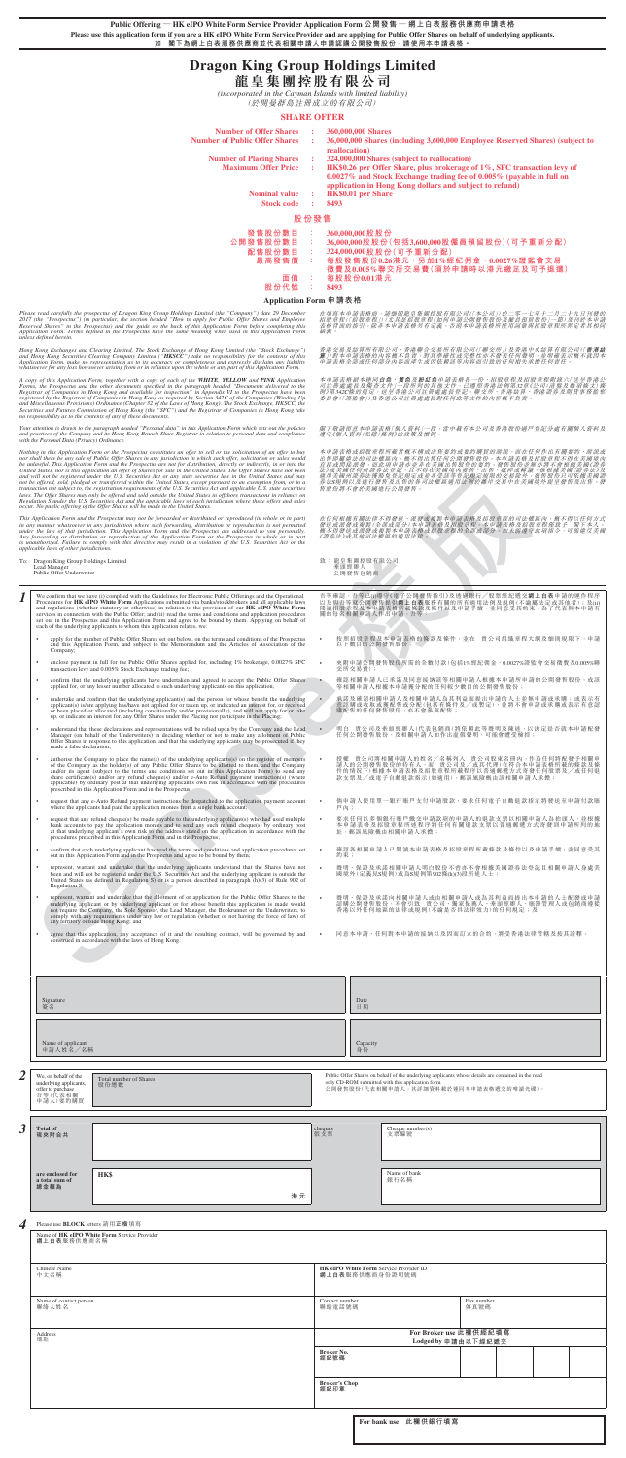**Public Offering — HK eIPO White Form Service Provider Application Form 公開發售 — 網上白表服務供應商申請表格 Please use this application form if you are a HK eIPO White Form Service Provider and are applying for Public Offer Shares on behalf of underlying applicants. 如 閣下為網上白表服務供應商並代表相關申請人申請認購公開發售股份,請使用本申請表格。**

# **Dragon King Group Holdings Limited 龍皇集團控股有限公司**

*(incorporated in the Cayman Islands with limited liability)* (於開曼群島註冊成立的有限公司)

#### **SHARE OFFER**

| <b>Number of Offer Shares</b><br><b>Number of Public Offer Shares</b> | ÷<br>÷ | 360,000,000 Shares<br>36,000,000 Shares (including 3,600,000 Employee Reserved Shares) (subject to<br>reallocation)                                                                                              |  |
|-----------------------------------------------------------------------|--------|------------------------------------------------------------------------------------------------------------------------------------------------------------------------------------------------------------------|--|
| <b>Number of Placing Shares</b>                                       |        | 324,000,000 Shares (subject to reallocation)                                                                                                                                                                     |  |
| <b>Maximum Offer Price</b>                                            | ÷      | HK\$0.26 per Offer Share, plus brokerage of 1%, SFC transaction levy of<br>$0.0027\%$ and Stock Exchange trading fee of $0.005\%$ (payable in full on<br>application in Hong Kong dollars and subject to refund) |  |
| <b>Nominal value</b>                                                  | ÷      | <b>HK\$0.01</b> per Share                                                                                                                                                                                        |  |
| <b>Stock code</b>                                                     | ÷      | 8493                                                                                                                                                                                                             |  |
| 股份發售                                                                  |        |                                                                                                                                                                                                                  |  |
| 發售股份數目                                                                | ÷.     | 360,000,000股股份                                                                                                                                                                                                   |  |
| 公開發售股份數目                                                              | ÷      | 36,000,000股股份(包括3,600,000股僱員預留股份)(可予重新分配)                                                                                                                                                                        |  |
| 配售股份數目                                                                | - 17   | 324,000,000股股份(可予重新分配)                                                                                                                                                                                           |  |
| 最高發售價                                                                 |        | 每股發售股份0.26港元,另加1%經紀佣金、0.0027%證監會交易                                                                                                                                                                               |  |
|                                                                       |        | 徵費及0.005%聯交所交易費(須於申請時以港元繳足及可予退還)                                                                                                                                                                                 |  |
| 面值                                                                    |        | 每股股份0.01港元                                                                                                                                                                                                       |  |
| 股份代號                                                                  |        | 8493                                                                                                                                                                                                             |  |

# **Application Form 申請表格**

Please read carefully the prospectus of Dragon King Group Holdings Limited (the "Company") date 29 December<br>2017 (the "Prospectus") (in particular, the section headed "How to apply for Public Offer Shares and Employee<br>Rese

Hong Kong Exchanges and Clearing Limited, The Stock Exchange of Hong Kong Limited (the "Stock Exchange")<br>and Hong Kong Securities Clearing Company Limited ("**HKSCC**") take no responsibility for the contents of this<br>Applica

A copy of this Application Form, together with a copy of each of the **WHITE, YELLOW** and **PINK** Application Forms, the Prospectus and the other documents specified in the paragraph headed "Documents Registrar of Companies

Your attention is drawn to the paragraph headed "Personal data" in this Application Form which sets out the policies<br>and practices of the Company and its Hong Kong Branch Share Registrar in relation to personal data and co *with the Personal Data (Privacy) Ordinance.*

Nothing in this Application Form or the Prospectus constitutes an offer to sell or the solicitation of an offer to buy and there be any sale of Public Offer Shares in any jurisdiction in which such offer, solicitation or s

- 致: 龍皇集團控股有限公司 牽頭經辦人 公開發售包銷商
- 

- 按照招股章程及本甲請表格的條款及條件,亚在 賞公司組織章程大鋼及細則規限下,甲請<br>| 以下數目的公開發售股份;
- 夾附申請公開發售股份所需的全數付款(包括1%經紀佣金、0.0027%證監會交易徵費及0.005%聯 交所交易費);
- 確認相關申請人已承諾及同意接納該等相關申請人根據本申請所申請的公開發售股份,或該<br>- 等相關申請人根據本申請獲分配的任何較少數目的公開發售股份;
- 承諾及確認相關申請人及相關申請人為其利益而提出申請的人士亚無申請或本購;或表示有<br>意認購或收取或獲配售的合或分配(包括有條件及/或暫定),並將不會申請或承購或表示有意認<br>- 購配售的任何發售股份,亦不會參與配售;
- 明白 貴公司及牽頭經辦人(代表包銷商)將依賴此等聲明及陳延,以決定是否就本甲請配發<br>— 任何公開發售股份,及相關申請人如作出虛假聲明,可能會遭受檢控;
- 授權 賞公司將相關申請人的姓名/名稱列入 賞公司股東名冊內,作為仕何將配發予相關甲<br>請人的公開發售股份的持有人,而 貴公司及/或其代理(在符合本申請表格所載的條款及條<br>件的情況下,根據本申請表格及招股章程所載程序以普通郵遞方式寄發任何股票及/或任何退
- 倘申請人使用單一銀行賬戶支付申請股款,要求任何電子自動退款指示將發送至申請付款賬 戶內;
- 要求仕何以多個銀行賬戶繳交甲請款項的甲請人的退款支票以相關甲請人為抬頭人,亚根據<br>本申請表格及招股章程所述程序將任何有關退款支票以普通郵遞方式寄發到申請所列的地 址,郵誤風險概由相關申請人承擔;
- 確認各相關甲請人已閲讀本甲請表格及招股章程所載條款及條件以及甲請手續,亚同意受其<br>約束;
- 聲明、保證及承諾相關甲請人明曰股份不習亦不曾根據美國證券法登記且相關甲請人身處美<br>| 國境外(定義見S規例)或為S規例第902條(h)(3)段所述人士;

# To: Dragon King Group Holdings Limited Lead Manager Public Offer Underwriter

- **I** We confirm that we have (i) complied with the Guidelines for Electronic Public Offerings and the Operational Procedures for **HK eIPO White Form** Applications submitted via banks/stockbrokers and all applicable laws and
	- apply for the number of Public Offer Shares set out below, on the terms and conditions of the Prospectus and this Application Form, and subject to the Memorandum and the Articles of Association of the Company;
	- enclose payment in full for the Public Offer Shares applied for, including 1% brokerage, 0.0027% SFC transaction levy and 0.005% Stock Exchange trading fee;
	- confirm that the underlying applicants have undertaken and agreed to accept the Public Offer Shares applied for, or any lesser number allocated to such underlying applicants on this application;
	- undertake and confirm that the underlying applicant(s) and the person for whose benefit the underlying applicant(s) is/are applying has/have not applied for or taken up, or indicated an interest for, or received or been
	- understand that these declarations and representations will be relied upon by the Company and the Lead Manager (on behalf of the Underwriters) in deciding whether or not to make any allotment of Public Offer Shares in re
	- authorise the Company to place the name(s) of the underlying applicants(s) on the register of members<br>of the Company as the holder(s) of any Public Offer Shares to be allotted to them, and the Company<br>and/or its agent (s
	- request that any e-Auto Refund payment instructions be despatched to the application payment account where the applicants had paid the application monies from a single bank account
	- request that any refund cheque(s) be made payable to the underlying applicant(s) who had used multiple bank accounts to pay the application monies and to send any such refund cheque(s) by ordinary post at that underlying
	- confirm that each underlying applicant has read the terms and conditions and application procedures set out in this Application Form and in the Prospectus and agree to be bound by them;
	- represent, warrant and undertake that the underlying applicants understand that the Shares have not<br>been and will not be registered under the U.S. Securities Act and the underlying applicant is outside the<br>United States (a Regulation S;

在填寫本申請表格前,請細閱龍皇集團控股有限公司(| 本公司 | )於二零一七年十二月二十九日刊發的<br>招股章程( | 招股章程 | ) (尤其是招股章程[ 如何申請公開發售股份及僱員預留股份 | 一節) 及刊於本申請<br>表格背面的指引。除非本申請表格另有定義,否則本申請表格所使用詞彙與招股章程所界定者具相同<br>涵義。

香港交易及結算所有限公司、香港聯合交易所有限公司(「聯交所」)及香港中央結算有限公司(「**香港結**<br>**算** 」)對本申請表格的內容概不負責,對其準確性或等度整性亦不發表任何聲明,並明確表示概不就因本<br>申請表格全部或任何部分內容而產生或因依賴該等內容而引致的任何損失承擔任何責任。

本申請表格副本理同**白色、黃色**及**粉紅色**申請表格各一份、招股章程及招股章程附錄六| 送呈香港公<br>司註冊處處長及備查文件」一段所列的其他文件, 已遵照香港法例第32章《公司(清盤及雜項條文)條<br>例》第342C條的規定, 送呈香港公司註冊處處長登記。聯交所、香港結算。香港證券及期貨事務監察

閣下敬請留意本申請表格|個人資料」一段,當中載有本公司及香港股份過戶登記分處有關個人資料及<br>遵守《個人資料(私隱)條例》的政策及慣例。

本申請表格或招股章程所載者概不構成出售要約或要約購買的游說,而在任何作出有關要約、游說或<br>出售即屬違法的司法權區內,概不得出售任何公開發售股份。本申請表格及招股章程不得在美國境內 出售即屬違法的司法權區內,概不得出售任何公開發售股份。本申請表格及招股意程不得在美國境況者<br>直接或問接派發,而此項申請亦並非在美國出售股份的要約。發售股份並無亦將不會根據美國境證券法<br>法》或美國任何州證券法登記,且不得在美國境內發售、出售、抵押或轉讓,惟根據美國(證券法)及<br>適用美國州證券法獲豁免登記規定或並非受該等登記規定規限的交易除外。發售股份只可依據美國證<br>券股份將不會於美國進行公開發售。<br>

| United States, nor is this application an offer of Shares for sale in the United States. The Offer Shares have not been<br>and will not be registered under the U.S. Securities Act or any state securities law in the United States and may<br>not be offered, sold, pledged or transferred within the United States, except pursuant to an exemption from, or in a<br>transaction not subject to, the registration requirements of the U.S. Securities Act and applicable U.S. state securities<br>laws. The Offer Shares may only be offered and sold outside the United States in offshore transactions in reliance on<br>Regulation S under the U.S. Securities Act and the applicable laws of each jurisdiction where those offers and sales<br>occur. No public offering of the Offer Shares will be made in the United States.                                                                                                                                                                                                                                                                                                                                                                                                                                                                                                                                                                                                                                                                                                                                                                                                                                                                                                                                                                                                                                                                                                                                                                                                                                                                                                                                                                                                                                                                                                                                                                                                                                                                                                                                                                                                                                                                                                                                                                                                                                                                                                                                                                                                                                                                                                                                                                                                                                                                                                                                                                                                                                                                                                                                                                                                                                                                                                                                                                                                                                                                                                                                                                                                                                                                                                                                                                                                                                                                                                                                                                                                                        | 適用美國州證券法獲豁免登記規定或並非受該等登記規定規限的交易除外。發售股份只可依據美國說<br>券法S規例以及進行發售及出售的各司法權區適用法例於離岸交易中在美國境外提呈發售及出售。發<br>售股份將不會於美國進行公開發售                                                                                                                                                                                                                                                                                                                                                                                                                                                                                                                                                                                                                                                                                                                                                                                                                                                                                                                                                                                                                                                                                                                                                   |
|---------------------------------------------------------------------------------------------------------------------------------------------------------------------------------------------------------------------------------------------------------------------------------------------------------------------------------------------------------------------------------------------------------------------------------------------------------------------------------------------------------------------------------------------------------------------------------------------------------------------------------------------------------------------------------------------------------------------------------------------------------------------------------------------------------------------------------------------------------------------------------------------------------------------------------------------------------------------------------------------------------------------------------------------------------------------------------------------------------------------------------------------------------------------------------------------------------------------------------------------------------------------------------------------------------------------------------------------------------------------------------------------------------------------------------------------------------------------------------------------------------------------------------------------------------------------------------------------------------------------------------------------------------------------------------------------------------------------------------------------------------------------------------------------------------------------------------------------------------------------------------------------------------------------------------------------------------------------------------------------------------------------------------------------------------------------------------------------------------------------------------------------------------------------------------------------------------------------------------------------------------------------------------------------------------------------------------------------------------------------------------------------------------------------------------------------------------------------------------------------------------------------------------------------------------------------------------------------------------------------------------------------------------------------------------------------------------------------------------------------------------------------------------------------------------------------------------------------------------------------------------------------------------------------------------------------------------------------------------------------------------------------------------------------------------------------------------------------------------------------------------------------------------------------------------------------------------------------------------------------------------------------------------------------------------------------------------------------------------------------------------------------------------------------------------------------------------------------------------------------------------------------------------------------------------------------------------------------------------------------------------------------------------------------------------------------------------------------------------------------------------------------------------------------------------------------------------------------------------------------------------------------------------------------------------------------------------------------------------------------------------------------------------------------------------------------------------------------------------------------------------------------------------------------------------------------------------------------------------------------------------------------------------------------------------------------------------------------------------------------------------------------------------------------------------------------------------------|-------------------------------------------------------------------------------------------------------------------------------------------------------------------------------------------------------------------------------------------------------------------------------------------------------------------------------------------------------------------------------------------------------------------------------------------------------------------------------------------------------------------------------------------------------------------------------------------------------------------------------------------------------------------------------------------------------------------------------------------------------------------------------------------------------------------------------------------------------------------------------------------------------------------------------------------------------------------------------------------------------------------------------------------------------------------------------------------------------------------------------------------------------------------------------------------------------------------------------------------------------------------|
| This Application Form and the Prospectus may not be forwarded or distributed or reproduced (in whole or in part)<br>in any manner whatsoever in any jurisdiction where such forwarding, distribution or reproduction is not permitted<br>under the law of that jurisdiction. This Application Form and the Prospectus are addressed to you personally.<br>Any forwarding or distribution or reproduction of this Application Form or the Prospectus in whole or in part<br>is unauthorized. Failure to comply with this directive may result in a violation of the U.S. Securities Act or the                                                                                                                                                                                                                                                                                                                                                                                                                                                                                                                                                                                                                                                                                                                                                                                                                                                                                                                                                                                                                                                                                                                                                                                                                                                                                                                                                                                                                                                                                                                                                                                                                                                                                                                                                                                                                                                                                                                                                                                                                                                                                                                                                                                                                                                                                                                                                                                                                                                                                                                                                                                                                                                                                                                                                                                                                                                                                                                                                                                                                                                                                                                                                                                                                                                                                                                                                                                                                                                                                                                                                                                                                                                                                                                                                                                                                                                                 | 在任何根據有關法律不得發送、派發或複製本申請表格及招股章程的司法權區內,概不得以任何方式<br>發送或派發或複製(全部或部分)本申請表格及招股章程。本申請表格及招股章程僅致予 閣下本人。<br>概不得發送或派發或複製本申請表格政招股章程的全部或部分。如未能遵守此項指令,可能違反美區<br>《證券法》或其他司法權區的適用法律。                                                                                                                                                                                                                                                                                                                                                                                                                                                                                                                                                                                                                                                                                                                                                                                                                                                                                                                                                                                                                                                                                               |
| applicable laws of other jurisdictions.<br>To: Dragon King Group Holdings Limited<br>Lead Manager<br>Public Offer Underwriter                                                                                                                                                                                                                                                                                                                                                                                                                                                                                                                                                                                                                                                                                                                                                                                                                                                                                                                                                                                                                                                                                                                                                                                                                                                                                                                                                                                                                                                                                                                                                                                                                                                                                                                                                                                                                                                                                                                                                                                                                                                                                                                                                                                                                                                                                                                                                                                                                                                                                                                                                                                                                                                                                                                                                                                                                                                                                                                                                                                                                                                                                                                                                                                                                                                                                                                                                                                                                                                                                                                                                                                                                                                                                                                                                                                                                                                                                                                                                                                                                                                                                                                                                                                                                                                                                                                                 | 致: 龍皇集團控股有限公司<br>牽頭經辦人<br>公開發售包銷商                                                                                                                                                                                                                                                                                                                                                                                                                                                                                                                                                                                                                                                                                                                                                                                                                                                                                                                                                                                                                                                                                                                                                                                                                                 |
| We confirm that we have (i) complied with the Guidelines for Electronic Public Offerings and the Operational<br>Procedures for HK eIPO White Form Applications submitted via banks/stockbrokers and all applicable laws<br>and regulations (whether statutory or otherwise) in relation to the provision of our HK eIPO White Form<br>services in connection with the Public Offer; and (ii) read the terms and conditions and application procedures<br>set out in the Prospectus and this Application Form and agree to be bound by them. Applying on behalf of<br>each of the underlying applicants to whom this application relates, we:<br>apply for the number of Public Offer Shares set out below, on the terms and conditions of the Prospectus<br>and this Application Form, and subject to the Memorandum and the Articles of Association of the<br>Company;<br>enclose payment in full for the Public Offer Shares applied for, including 1% brokerage, 0.0027% SFC<br>transaction levy and 0.005% Stock Exchange trading fee;<br>confirm that the underlying applicants have undertaken and agreed to accept the Public Offer Shares<br>applied for, or any lesser number allocated to such underlying applicants on this application;<br>undertake and confirm that the underlying applicant(s) and the person for whose benefit the underlying<br>applicant(s) is/are applying has/have not applied for or taken up, or indicated an interest for, or received<br>or been placed or allocated (including conditionally and/or provisionally), and will not apply for or take<br>up, or indicate an interest for, any Offer Shares under the Placing nor participate in the Placing;<br>understand that these declarations and representations will be relied upon by the Company and the Lead<br>Manager (on behalf of the Underwriters) in deciding whether or not to make any allotment of Public<br>Offer Shares in response to this application, and that the underlying applicants may be prosecuted if they<br>made a false declaration;<br>authorise the Company to place the name(s) of the underlying applicants(s) on the register of members<br>of the Company as the holder(s) of any Public Offer Shares to be allotted to them, and the Company<br>and/or its agent (subject to the terms and conditions set out in this Application Form) to send any<br>share certificate(s) and/or any refund cheque(s) and/or e-Auto Refund payment instruction(s) (where<br>applicable) by ordinary post at that underlying applicant's own risk in accordance with the procedures<br>prescribed in this Application Form and in the Prospectus;<br>request that any e-Auto Refund payment instructions be despatched to the application payment account<br>where the applicants had paid the application monies from a single bank account;<br>request that any refund cheque(s) be made payable to the underlying applicant(s) who had used multiple<br>bank accounts to pay the application monies and to send any such refund cheque(s) by ordinary post<br>at that underlying applicant's own risk to the address stated on the application in accordance with the<br>procedures prescribed in this Application Form and in the Prospectus;<br>confirm that each underlying applicant has read the terms and conditions and application procedures set<br>out in this Application Form and in the Prospectus and agree to be bound by them;<br>represent, warrant and undertake that the underlying applicants understand that the Shares have not<br>been and will not be registered under the U.S. Securities Act and the underlying applicant is outside the<br>United States (as defined in Regulation S) or is a person described in paragraph $(h)(3)$ of Rule 902 of<br>Regulation S:<br>represent, warrant and undertake that the allotment of or application for the Public Offer Shares to the<br>underlying applicant or by underlying applicant or for whose benefit this application is made would<br>not require the Company, the Sole Sponsor, the Lead Manager, the Bookrunner or the Underwriters, to<br>comply with any requirements under any law or regulation (whether or not having the force of law) of<br>any territory outside Hong Kong; and<br>agree that this application, any acceptance of it and the resulting contract, will be governed by and<br>construed in accordance with the laws of Hong Kong. | 吾等確認,吾等已(j)遵守《電子公開發售指引》及透過銀行/股票經紀遞交 <mark>網上白表</mark> 申請的運作程序<br>以及與吾等就公開發售提供 <b>網上白表</b> 服務有關的所有適用法例及規例(不論屬法定或其他者);及(ii)<br>関讀招股章程及本申請表格所載條款及條件以及申請手續,並同意受其約束。為了代表與本申請有<br>關的每名相關申請人作出申請,吾等:<br>按照招股章程及本申請表格的條款及條件,並在 貴公司組織章程大綱及細則規限下,申請<br>以下數目的公開發售股份<br>夾附申請公開發售股份所需的全數付款(包括1%經紀佣金、0.0027%證監會交易徵費及0.005%聯<br>交所交易費);<br>確認相關申請人已承諾及同意接納該等相關申請人根據本申請所申請的公開發售股份,或該<br>等相關申請人根據本申請獲分配的任何較少數目的公開發售股份<br>承諾及確認相關申請人及相關申請人為其利益而提出申請的人士並無申請或承購;或表示有<br>意認購或收取或獲配售或分配(包括有條件及/或暫定),並將不會申請或承購或表示有意認<br>購配售的任何發售股份,亦不會參與配售;<br>明白 貴公司及牽頭經辦人(代表包銷商)將依賴此等聲明及陳述,以決定是否就本申請配發<br>任何公開發售股份,及相關申請人如作出虛假聲明,可能會遭受檢控;<br>授權 貴公司將相關申請人的姓名/名稱列入 貴公司股東名冊內,作為任何將配發予相關申<br>請人的公開發售股份的持有人,而 貴公司及/或其代理(在符合本申請表格所載的條款及條<br>件的情況下)根據本申請表格及招股章程所載程序以普通郵遞方式寄發任何股票及/或任何退<br>款支票及/或電子自動退款指示(如適用),郵誤風險概由該相關申請人承擔;<br>倘申請人使用單一銀行賬戶支付申請股款,要求任何電子自動退款指示將發送至申請付款賬<br>戶內;<br>要求任何以多個銀行賬戶繳交申請款項的申請人的退款支票以相關申請人為抬頭人,並根據<br>本申請表格及招股章程所述程序將任何有關退款支票以普通郵遞方式寄發到申請所列的地<br>址,郵誤風險概由相關申請人承擔;<br>確認各相關申請人已閱讀本申請表格及招股章程所載條款及條件以及申請手續,並同意受其<br>約束;<br>聲明、保證及承諾相關申請人明白股份不曾亦不會根據美國證券法登記且相關申請人身處美<br>國境外(定義見S規例)或為S規例第902條(h)(3)段所述人士;<br>聲明、保證及承諾向相關申請人或由相關申請人或為其利益而提出本申請的人士配發或申請<br>該購公開發售股份,不會引致, 貴公司, 獨家保薦人, 牽頭經辦人, 賬簿管理人或包銷商遵從<br>香港以外任何地區的法律或規例(不論是否具法律效力)的任何規定; 及<br>同意本申請、任何對本申請的接納以及因而訂立的合約,將受香港法律管轄及按其詮釋。 |
| Signature<br>簽名<br>Name of applicant<br>申請人姓名/名稱                                                                                                                                                                                                                                                                                                                                                                                                                                                                                                                                                                                                                                                                                                                                                                                                                                                                                                                                                                                                                                                                                                                                                                                                                                                                                                                                                                                                                                                                                                                                                                                                                                                                                                                                                                                                                                                                                                                                                                                                                                                                                                                                                                                                                                                                                                                                                                                                                                                                                                                                                                                                                                                                                                                                                                                                                                                                                                                                                                                                                                                                                                                                                                                                                                                                                                                                                                                                                                                                                                                                                                                                                                                                                                                                                                                                                                                                                                                                                                                                                                                                                                                                                                                                                                                                                                                                                                                                              | Date<br>日期<br>Capacity<br>身份                                                                                                                                                                                                                                                                                                                                                                                                                                                                                                                                                                                                                                                                                                                                                                                                                                                                                                                                                                                                                                                                                                                                                                                                                                      |
| We, on behalf of the<br>Total number of Shares<br>underlying applicants,<br>股份總數<br>offer to purchase<br>吾等(代表相關<br>申請人)要約購買                                                                                                                                                                                                                                                                                                                                                                                                                                                                                                                                                                                                                                                                                                                                                                                                                                                                                                                                                                                                                                                                                                                                                                                                                                                                                                                                                                                                                                                                                                                                                                                                                                                                                                                                                                                                                                                                                                                                                                                                                                                                                                                                                                                                                                                                                                                                                                                                                                                                                                                                                                                                                                                                                                                                                                                                                                                                                                                                                                                                                                                                                                                                                                                                                                                                                                                                                                                                                                                                                                                                                                                                                                                                                                                                                                                                                                                                                                                                                                                                                                                                                                                                                                                                                                                                                                                                  | Public Offer Shares on behalf of the underlying applicants whose details are contained in the read<br>only CD-ROM submitted with this application form.<br>公開發售股份(代表相關申請人,其詳細資料載於連同本申請表格遞交的唯讀光碟)。                                                                                                                                                                                                                                                                                                                                                                                                                                                                                                                                                                                                                                                                                                                                                                                                                                                                                                                                                                                                                                                                 |
| <b>Total of</b><br>現夾附合共<br><b>HK\$</b><br>are enclosed for                                                                                                                                                                                                                                                                                                                                                                                                                                                                                                                                                                                                                                                                                                                                                                                                                                                                                                                                                                                                                                                                                                                                                                                                                                                                                                                                                                                                                                                                                                                                                                                                                                                                                                                                                                                                                                                                                                                                                                                                                                                                                                                                                                                                                                                                                                                                                                                                                                                                                                                                                                                                                                                                                                                                                                                                                                                                                                                                                                                                                                                                                                                                                                                                                                                                                                                                                                                                                                                                                                                                                                                                                                                                                                                                                                                                                                                                                                                                                                                                                                                                                                                                                                                                                                                                                                                                                                                                   | cheques<br>Cheque $number(s)$<br>張支票<br>支票编號<br>Name of bank                                                                                                                                                                                                                                                                                                                                                                                                                                                                                                                                                                                                                                                                                                                                                                                                                                                                                                                                                                                                                                                                                                                                                                                                      |
| a total sum of<br>總金額為<br>港元                                                                                                                                                                                                                                                                                                                                                                                                                                                                                                                                                                                                                                                                                                                                                                                                                                                                                                                                                                                                                                                                                                                                                                                                                                                                                                                                                                                                                                                                                                                                                                                                                                                                                                                                                                                                                                                                                                                                                                                                                                                                                                                                                                                                                                                                                                                                                                                                                                                                                                                                                                                                                                                                                                                                                                                                                                                                                                                                                                                                                                                                                                                                                                                                                                                                                                                                                                                                                                                                                                                                                                                                                                                                                                                                                                                                                                                                                                                                                                                                                                                                                                                                                                                                                                                                                                                                                                                                                                  | 銀行名稱                                                                                                                                                                                                                                                                                                                                                                                                                                                                                                                                                                                                                                                                                                                                                                                                                                                                                                                                                                                                                                                                                                                                                                                                                                                              |
| Please use <b>BLOCK</b> letters 請用正楷填寫<br>Name of HK eIPO White Form Service Provider<br>網上白表服務供應商名稱                                                                                                                                                                                                                                                                                                                                                                                                                                                                                                                                                                                                                                                                                                                                                                                                                                                                                                                                                                                                                                                                                                                                                                                                                                                                                                                                                                                                                                                                                                                                                                                                                                                                                                                                                                                                                                                                                                                                                                                                                                                                                                                                                                                                                                                                                                                                                                                                                                                                                                                                                                                                                                                                                                                                                                                                                                                                                                                                                                                                                                                                                                                                                                                                                                                                                                                                                                                                                                                                                                                                                                                                                                                                                                                                                                                                                                                                                                                                                                                                                                                                                                                                                                                                                                                                                                                                                          |                                                                                                                                                                                                                                                                                                                                                                                                                                                                                                                                                                                                                                                                                                                                                                                                                                                                                                                                                                                                                                                                                                                                                                                                                                                                   |
| Chinese Name<br>中文名稱                                                                                                                                                                                                                                                                                                                                                                                                                                                                                                                                                                                                                                                                                                                                                                                                                                                                                                                                                                                                                                                                                                                                                                                                                                                                                                                                                                                                                                                                                                                                                                                                                                                                                                                                                                                                                                                                                                                                                                                                                                                                                                                                                                                                                                                                                                                                                                                                                                                                                                                                                                                                                                                                                                                                                                                                                                                                                                                                                                                                                                                                                                                                                                                                                                                                                                                                                                                                                                                                                                                                                                                                                                                                                                                                                                                                                                                                                                                                                                                                                                                                                                                                                                                                                                                                                                                                                                                                                                          | HK eIPO White Form Service Provider ID<br>網上白表服務供應商身份證明號碼                                                                                                                                                                                                                                                                                                                                                                                                                                                                                                                                                                                                                                                                                                                                                                                                                                                                                                                                                                                                                                                                                                                                                                                                         |
| Name of contact person<br>聯絡人姓名                                                                                                                                                                                                                                                                                                                                                                                                                                                                                                                                                                                                                                                                                                                                                                                                                                                                                                                                                                                                                                                                                                                                                                                                                                                                                                                                                                                                                                                                                                                                                                                                                                                                                                                                                                                                                                                                                                                                                                                                                                                                                                                                                                                                                                                                                                                                                                                                                                                                                                                                                                                                                                                                                                                                                                                                                                                                                                                                                                                                                                                                                                                                                                                                                                                                                                                                                                                                                                                                                                                                                                                                                                                                                                                                                                                                                                                                                                                                                                                                                                                                                                                                                                                                                                                                                                                                                                                                                               | Fax number<br>Contact number<br>聯絡電話號碼<br>傳真號碼                                                                                                                                                                                                                                                                                                                                                                                                                                                                                                                                                                                                                                                                                                                                                                                                                                                                                                                                                                                                                                                                                                                                                                                                                    |
| Address<br>地址                                                                                                                                                                                                                                                                                                                                                                                                                                                                                                                                                                                                                                                                                                                                                                                                                                                                                                                                                                                                                                                                                                                                                                                                                                                                                                                                                                                                                                                                                                                                                                                                                                                                                                                                                                                                                                                                                                                                                                                                                                                                                                                                                                                                                                                                                                                                                                                                                                                                                                                                                                                                                                                                                                                                                                                                                                                                                                                                                                                                                                                                                                                                                                                                                                                                                                                                                                                                                                                                                                                                                                                                                                                                                                                                                                                                                                                                                                                                                                                                                                                                                                                                                                                                                                                                                                                                                                                                                                                 | For Broker use 此欄供經紀填寫<br>Lodged by 申請由以下經紀遞交                                                                                                                                                                                                                                                                                                                                                                                                                                                                                                                                                                                                                                                                                                                                                                                                                                                                                                                                                                                                                                                                                                                                                                                                                     |
|                                                                                                                                                                                                                                                                                                                                                                                                                                                                                                                                                                                                                                                                                                                                                                                                                                                                                                                                                                                                                                                                                                                                                                                                                                                                                                                                                                                                                                                                                                                                                                                                                                                                                                                                                                                                                                                                                                                                                                                                                                                                                                                                                                                                                                                                                                                                                                                                                                                                                                                                                                                                                                                                                                                                                                                                                                                                                                                                                                                                                                                                                                                                                                                                                                                                                                                                                                                                                                                                                                                                                                                                                                                                                                                                                                                                                                                                                                                                                                                                                                                                                                                                                                                                                                                                                                                                                                                                                                                               | Broker No.<br>經紀號碼                                                                                                                                                                                                                                                                                                                                                                                                                                                                                                                                                                                                                                                                                                                                                                                                                                                                                                                                                                                                                                                                                                                                                                                                                                                |
|                                                                                                                                                                                                                                                                                                                                                                                                                                                                                                                                                                                                                                                                                                                                                                                                                                                                                                                                                                                                                                                                                                                                                                                                                                                                                                                                                                                                                                                                                                                                                                                                                                                                                                                                                                                                                                                                                                                                                                                                                                                                                                                                                                                                                                                                                                                                                                                                                                                                                                                                                                                                                                                                                                                                                                                                                                                                                                                                                                                                                                                                                                                                                                                                                                                                                                                                                                                                                                                                                                                                                                                                                                                                                                                                                                                                                                                                                                                                                                                                                                                                                                                                                                                                                                                                                                                                                                                                                                                               | <b>Broker's Chop</b><br>經紀印章                                                                                                                                                                                                                                                                                                                                                                                                                                                                                                                                                                                                                                                                                                                                                                                                                                                                                                                                                                                                                                                                                                                                                                                                                                      |
|                                                                                                                                                                                                                                                                                                                                                                                                                                                                                                                                                                                                                                                                                                                                                                                                                                                                                                                                                                                                                                                                                                                                                                                                                                                                                                                                                                                                                                                                                                                                                                                                                                                                                                                                                                                                                                                                                                                                                                                                                                                                                                                                                                                                                                                                                                                                                                                                                                                                                                                                                                                                                                                                                                                                                                                                                                                                                                                                                                                                                                                                                                                                                                                                                                                                                                                                                                                                                                                                                                                                                                                                                                                                                                                                                                                                                                                                                                                                                                                                                                                                                                                                                                                                                                                                                                                                                                                                                                                               |                                                                                                                                                                                                                                                                                                                                                                                                                                                                                                                                                                                                                                                                                                                                                                                                                                                                                                                                                                                                                                                                                                                                                                                                                                                                   |